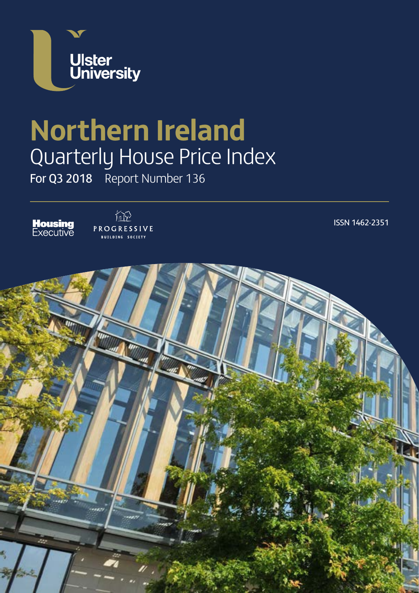

# **Northern Ireland** Quarterly House Price Index

For Q3 2018 Report Number 136





ISSN 1462-2351

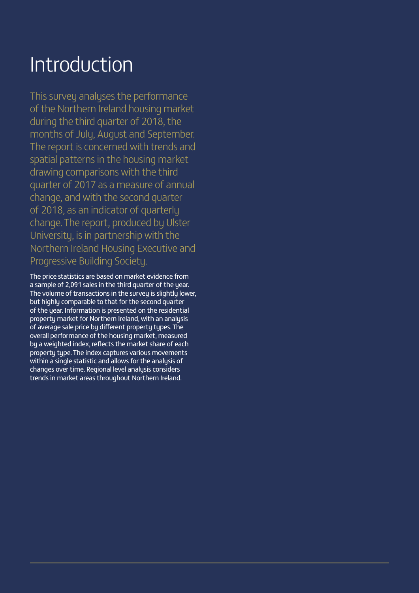### Introduction

This survey analyses the performance of the Northern Ireland housing market during the third quarter of 2018, the months of July, August and September. The report is concerned with trends and spatial patterns in the housing market drawing comparisons with the third quarter of 2017 as a measure of annual change, and with the second quarter of 2018, as an indicator of quarterly change. The report, produced by Ulster University, is in partnership with the Northern Ireland Housing Executive and Progressive Building Society.

The price statistics are based on market evidence from a sample of 2,091 sales in the third quarter of the year. The volume of transactions in the survey is slightly lower, but highly comparable to that for the second quarter of the year. Information is presented on the residential property market for Northern Ireland, with an analysis of average sale price by different property types. The overall performance of the housing market, measured by a weighted index, reflects the market share of each property type. The index captures various movements within a single statistic and allows for the analysis of changes over time. Regional level analysis considers trends in market areas throughout Northern Ireland.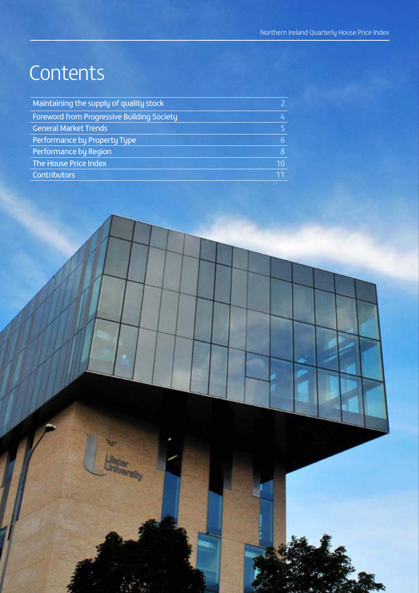### **Contents**

| Maintaining the supply of quality stock           |    |
|---------------------------------------------------|----|
| <b>Foreword from Progressive Building Society</b> | 4  |
| <b>General Market Trends</b>                      | 5. |
| Performance by Property Type                      | 6  |
| Performance by Region                             | 8  |
| The House Price Index                             | 10 |
| <b>Contributors</b>                               |    |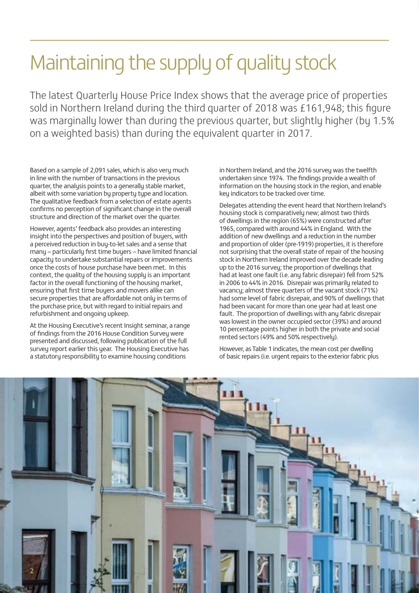## Maintaining the supply of quality stock

The latest Quarterly House Price Index shows that the average price of properties sold in Northern Ireland during the third quarter of 2018 was £161,948; this figure was marginally lower than during the previous quarter, but slightly higher (by 1.5% on a weighted basis) than during the equivalent quarter in 2017.

Based on a sample of 2,091 sales, which is also very much in line with the number of transactions in the previous quarter, the analysis points to a generally stable market, albeit with some variation by property type and location. The qualitative feedback from a selection of estate agents confirms no perception of significant change in the overall structure and direction of the market over the quarter.

However, agents' feedback also provides an interesting insight into the perspectives and position of buyers, with a perceived reduction in buy-to-let sales and a sense that many – particularly first time buyers – have limited financial capacity to undertake substantial repairs or improvements once the costs of house purchase have been met. In this context, the quality of the housing supply is an important factor in the overall functioning of the housing market, ensuring that first time buyers and movers alike can secure properties that are affordable not only in terms of the purchase price, but with regard to initial repairs and refurbishment and ongoing upkeep.

At the Housing Executive's recent Insight seminar, a range of findings from the 2016 House Condition Survey were presented and discussed, following publication of the full survey report earlier this year. The Housing Executive has a statutory responsibility to examine housing conditions

in Northern Ireland, and the 2016 survey was the twelfth undertaken since 1974. The findings provide a wealth of information on the housing stock in the region, and enable key indicators to be tracked over time.

Delegates attending the event heard that Northern Ireland's housing stock is comparatively new; almost two thirds of dwellings in the region (65%) were constructed after 1965, compared with around 44% in England. With the addition of new dwellings and a reduction in the number and proportion of older (pre-1919) properties, it is therefore not surprising that the overall state of repair of the housing stock in Northern Ireland improved over the decade leading up to the 2016 survey; the proportion of dwellings that had at least one fault (i.e. any fabric disrepair) fell from 52% in 2006 to 44% in 2016. Disrepair was primarily related to vacancy; almost three quarters of the vacant stock (71%) had some level of fabric disrepair, and 90% of dwellings that had been vacant for more than one year had at least one fault. The proportion of dwellings with any fabric disrepair was lowest in the owner occupied sector (39%) and around 10 percentage points higher in both the private and social rented sectors (49% and 50% respectively).

However, as Table 1 indicates, the mean cost per dwelling of basic repairs (i.e. urgent repairs to the exterior fabric plus

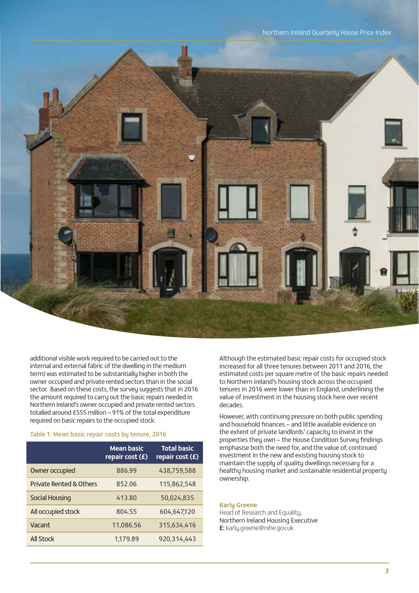

additional visible work required to be carried out to the internal and external fabric of the dwelling in the medium term) was estimated to be substantially higher in both the owner occupied and private rented sectors than in the social sector. Based on these costs, the survey suggests that in 2016 the amount required to carry out the basic repairs needed in Northern Ireland's owner occupied and private rented sectors totalled around £555 million – 91% of the total expenditure required on basic repairs to the occupied stock.

#### Table 1: Mean basic repair costs by tenure, 2016

|                                    | <b>Mean basic</b><br>repair cost (£) | <b>Total basic</b><br>repair cost (£) |
|------------------------------------|--------------------------------------|---------------------------------------|
| Owner occupied                     | 886.99                               | 438,759,588                           |
| <b>Private Rented &amp; Others</b> | 852.06                               | 115,862,548                           |
| <b>Social Housing</b>              | 413.80                               | 50,024,835                            |
| All occupied stock                 | 804.55                               | 604,647,120                           |
| Vacant                             | 11,086.56                            | 315,634,416                           |
| <b>All Stock</b>                   | 1,179.89                             | 920,314,443                           |

Although the estimated basic repair costs for occupied stock increased for all three tenures between 2011 and 2016, the estimated costs per square metre of the basic repairs needed to Northern Ireland's housing stock across the occupied tenures in 2016 were lower than in England, underlining the value of investment in the housing stock here over recent decades.

However, with continuing pressure on both public spending and household finances – and little available evidence on the extent of private landlords' capacity to invest in the properties they own – the House Condition Survey findings emphasise both the need for, and the value of, continued investment in the new and existing housing stock to maintain the supply of quality dwellings necessary for a healthy housing market and sustainable residential property ownership.

#### **Karly Greene**

Head of Research and Equality, Northern Ireland Housing Executive **E:** karly.greene@nihe.gov.uk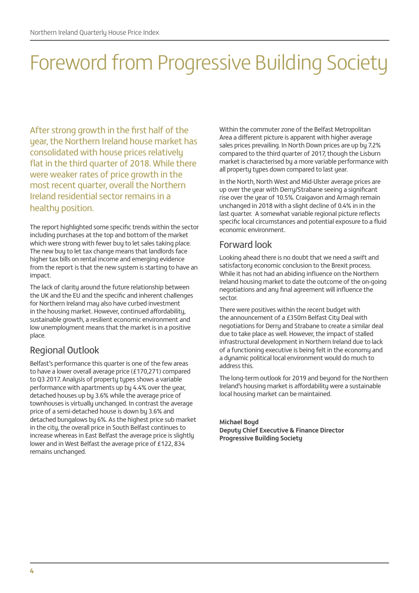# Foreword from Progressive Building Society

After strong growth in the first half of the year, the Northern Ireland house market has consolidated with house prices relatively flat in the third quarter of 2018. While there were weaker rates of price growth in the most recent quarter, overall the Northern Ireland residential sector remains in a healthy position.

The report highlighted some specific trends within the sector including purchases at the top and bottom of the market which were strong with fewer buy to let sales taking place. The new buy to let tax change means that landlords face higher tax bills on rental income and emerging evidence from the report is that the new system is starting to have an impact.

The lack of clarity around the future relationship between the UK and the EU and the specific and inherent challenges for Northern Ireland may also have curbed investment in the housing market. However, continued affordability, sustainable growth, a resilient economic environment and low unemployment means that the market is in a positive place.

### Regional Outlook

Belfast's performance this quarter is one of the few areas to have a lower overall average price (£170,271) compared to Q3 2017. Analysis of property types shows a variable performance with apartments up by 4.4% over the year, detached houses up by 3.6% while the average price of townhouses is virtually unchanged. In contrast the average price of a semi-detached house is down by 3.6% and detached bungalows by 6%. As the highest price sub market in the city, the overall price in South Belfast continues to increase whereas in East Belfast the average price is slightly lower and in West Belfast the average price of £122, 834 remains unchanged.

Within the commuter zone of the Belfast Metropolitan Area a different picture is apparent with higher average sales prices prevailing. In North Down prices are up by 7.2% compared to the third quarter of 2017, though the Lisburn market is characterised by a more variable performance with all property types down compared to last year.

In the North, North West and Mid-Ulster average prices are up over the year with Derry/Strabane seeing a significant rise over the year of 10.5%. Craigavon and Armagh remain unchanged in 2018 with a slight decline of 0.4% in in the last quarter. A somewhat variable regional picture reflects specific local circumstances and potential exposure to a fluid economic environment.

### Forward look

Looking ahead there is no doubt that we need a swift and satisfactory economic conclusion to the Brexit process. While it has not had an abiding influence on the Northern Ireland housing market to date the outcome of the on-going negotiations and any final agreement will influence the sector.

There were positives within the recent budget with the announcement of a £350m Belfast City Deal with negotiations for Derry and Strabane to create a similar deal due to take place as well. However, the impact of stalled infrastructural development in Northern Ireland due to lack of a functioning executive is being felt in the economy and a dunamic political local environment would do much to address this.

The long-term outlook for 2019 and beyond for the Northern Ireland's housing market is affordability were a sustainable local housing market can be maintained.

#### **Michael Boyd Deputy Chief Executive & Finance Director Progressive Building Society**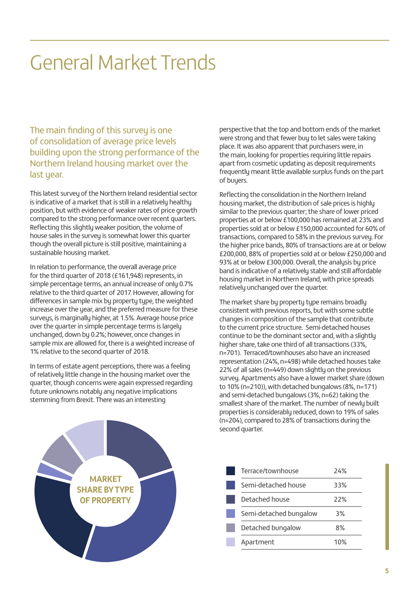### General Market Trends

The main finding of this survey is one of consolidation of average price levels building upon the strong performance of the Northern Ireland housing market over the last year.

This latest survey of the Northern Ireland residential sector is indicative of a market that is still in a relatively healthy position, but with evidence of weaker rates of price growth compared to the strong performance over recent quarters. Reflecting this slightly weaker position, the volume of house sales in the survey is somewhat lower this quarter though the overall picture is still positive, maintaining a sustainable housing market.

In relation to performance, the overall average price for the third quarter of 2018 (£161,948) represents, in simple percentage terms, an annual increase of only 0.7% relative to the third quarter of 2017. However, allowing for differences in sample mix by property type, the weighted increase over the year, and the preferred measure for these surveys, is marginally higher, at 1.5%. Average house price over the quarter in simple percentage terms is largely unchanged, down by 0.2%; however, once changes in sample mix are allowed for, there is a weighted increase of 1% relative to the second quarter of 2018.

In terms of estate agent perceptions, there was a feeling of relatively little change in the housing market over the quarter, though concerns were again expressed regarding future unknowns notably any negative implications stemming from Brexit. There was an interesting

perspective that the top and bottom ends of the market were strong and that fewer buy to let sales were taking place. It was also apparent that purchasers were, in the main, looking for properties requiring little repairs apart from cosmetic updating as deposit requirements frequently meant little available surplus funds on the part of buyers.

Reflecting the consolidation in the Northern Ireland housing market, the distribution of sale prices is highly similar to the previous quarter; the share of lower priced properties at or below £100,000 has remained at 23% and properties sold at or below £150,000 accounted for 60% of transactions, compared to 58% in the previous survey. For the higher price bands, 80% of transactions are at or below £200,000, 88% of properties sold at or below £250,000 and 93% at or below £300,000. Overall, the analysis by price band is indicative of a relatively stable and still affordable housing market in Northern Ireland, with price spreads relatively unchanged over the quarter.

The market share by property type remains broadly consistent with previous reports, but with some subtle changes in composition of the sample that contribute to the current price structure. Semi-detached houses continue to be the dominant sector and, with a slightly higher share, take one third of all transactions (33%, n=701). Terraced/townhouses also have an increased representation (24%, n=498) while detached houses take 22% of all sales (n=449) down slightly on the previous survey. Apartments also have a lower market share (down to 10% (n=210)), with detached bungalows (8%, n=171) and semi-detached bungalows (3%, n=62) taking the smallest share of the market. The number of newly built properties is considerably reduced, down to 19% of sales (n=204), compared to 28% of transactions during the second quarter.



| Terrace/townhouse      | 74% |
|------------------------|-----|
| Semi-detached house    | 33% |
| Detached house         | 22% |
| Semi-detached bungalow | 3%  |
| Detached bungalow      | 8%  |
| Apartment              | 1በ% |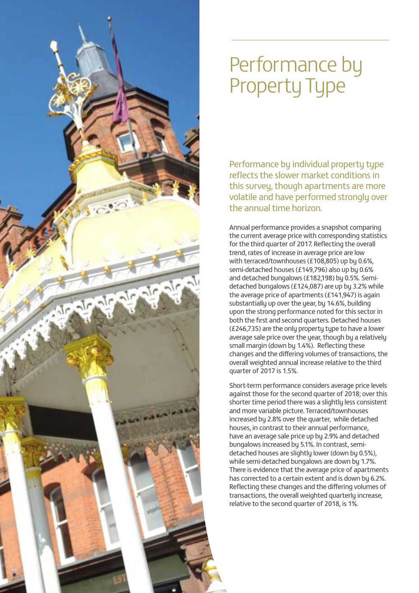

### Performance by Property Type

Performance by individual property type reflects the slower market conditions in this survey, though apartments are more volatile and have performed strongly over the annual time horizon.

Annual performance provides a snapshot comparing the current average price with corresponding statistics for the third quarter of 2017. Reflecting the overall trend, rates of increase in average price are low with terraced/townhouses (£108,805) up by 0.6%, semi-detached houses (£149,796) also up by 0.6% and detached bungalows (£182,198) by 0.5%. Semidetached bungalows (£124,087) are up by 3.2% while the average price of apartments (£141,947) is again substantially up over the year, by 14.6%, building upon the strong performance noted for this sector in both the first and second quarters. Detached houses (£246,735) are the only property type to have a lower average sale price over the year, though by a relatively small margin (down by 1.4%). Reflecting these changes and the differing volumes of transactions, the overall weighted annual increase relative to the third quarter of 2017 is 1.5%.

Short-term performance considers average price levels against those for the second quarter of 2018; over this shorter time period there was a slightly less consistent and more variable picture. Terraced/townhouses increased by 2.8% over the quarter, while detached houses, in contrast to their annual performance, have an average sale price up by 2.9% and detached bungalows increased by 5.1%. In contrast, semidetached houses are slightly lower (down by 0.5%), while semi-detached bungalows are down by 1.7%. There is evidence that the average price of apartments has corrected to a certain extent and is down by 6.2%. Reflecting these changes and the differing volumes of transactions, the overall weighted quarterly increase, relative to the second quarter of 2018, is 1%.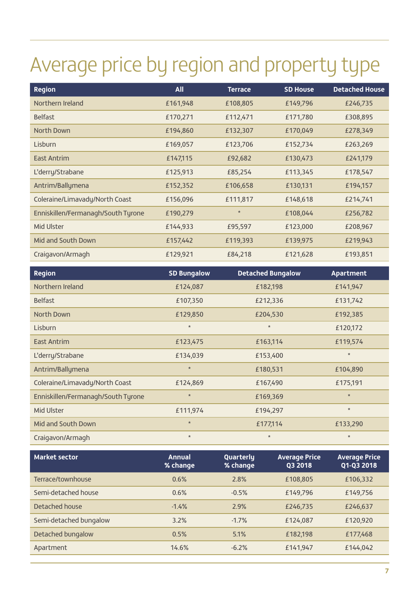# Average price by region and property type

| <b>Region</b>                      | <b>All</b> | <b>Terrace</b> | <b>SD House</b> | <b>Detached House</b> |
|------------------------------------|------------|----------------|-----------------|-----------------------|
| Northern Ireland                   | £161,948   | £108,805       | £149,796        | £246,735              |
| <b>Belfast</b>                     | £170,271   | £112,471       | £171,780        | £308,895              |
| North Down                         | £194,860   | £132,307       | £170,049        | £278,349              |
| Lisburn                            | £169,057   | £123,706       | £152,734        | £263,269              |
| <b>East Antrim</b>                 | £147,115   | £92,682        | £130,473        | £241,179              |
| L'derry/Strabane                   | £125,913   | £85,254        | £113,345        | £178,547              |
| Antrim/Ballymena                   | £152,352   | £106,658       | £130,131        | £194,157              |
| Coleraine/Limavady/North Coast     | £156,096   | £111,817       | £148,618        | £214,741              |
| Enniskillen/Fermanagh/South Tyrone | £190,279   | $\star$        | £108,044        | £256,782              |
| Mid Ulster                         | £144,933   | £95,597        | £123,000        | £208,967              |
| Mid and South Down                 | £157,442   | £119,393       | £139,975        | £219,943              |
| Craigavon/Armagh                   | £129,921   | £84,218        | £121,628        | £193,851              |

| <b>Region</b>                      | <b>SD Bungalow</b> | <b>Detached Bungalow</b> | Apartment |
|------------------------------------|--------------------|--------------------------|-----------|
| Northern Ireland                   | £124,087           | £182,198                 | £141,947  |
| <b>Belfast</b>                     | £107,350           | £212,336                 | £131,742  |
| North Down                         | £129,850           | £204,530                 | £192,385  |
| Lisburn                            | $\star$            | $\star$                  | £120,172  |
| <b>East Antrim</b>                 | £123,475           | £163,114                 | £119,574  |
| L'derry/Strabane                   | £134,039           | £153,400                 | $\star$   |
| Antrim/Ballymena                   | $\star$            | £180,531                 | £104,890  |
| Coleraine/Limavady/North Coast     | £124,869           | £167,490                 | £175,191  |
| Enniskillen/Fermanagh/South Tyrone | $\star$            | £169,369                 | $\star$   |
| Mid Ulster                         | £111,974           | £194,297                 | $\star$   |
| Mid and South Down                 | $\star$            | £177,114                 | £133,290  |
| Craigavon/Armagh                   | $\star$            | $\star$                  | $\star$   |

| <b>Market sector</b>   | <b>Annual</b><br>% change | Quarterly<br>% change | <b>Average Price</b><br>Q3 2018 | <b>Average Price</b><br>Q1-Q3 2018 |
|------------------------|---------------------------|-----------------------|---------------------------------|------------------------------------|
| Terrace/townhouse      | 0.6%                      | 2.8%                  | £108,805                        | £106,332                           |
| Semi-detached house    | 0.6%                      | $-0.5%$               | £149,796                        | £149,756                           |
| Detached house         | $-1.4%$                   | 2.9%                  | £246,735                        | £246,637                           |
| Semi-detached bungalow | 3.2%                      | $-1.7%$               | £124,087                        | £120,920                           |
| Detached bungalow      | 0.5%                      | 5.1%                  | £182,198                        | £177,468                           |
| Apartment              | 14.6%                     | $-6.2%$               | £141,947                        | £144,042                           |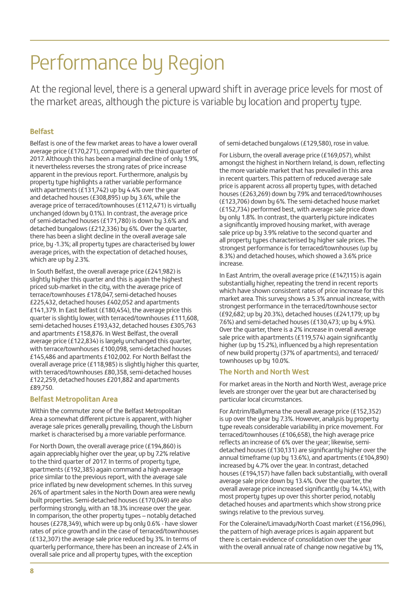## Performance by Region

At the regional level, there is a general upward shift in average price levels for most of At the regional level, there is a general upward shift in average price levels for most of the market areas, although the picture is variable by location and property type.

#### **Belfast**

Belfast is one of the few market areas to have a lower overall average price (£170,271), compared with the third quarter of 2017. Although this has been a marginal decline of only 1.9%, it nevertheless reverses the strong rates of price increase apparent in the previous report. Furthermore, analysis by property type highlights a rather variable performance with apartments (£131,742) up by 4.4% over the year and detached houses (£308,895) up by 3.6%, while the average price of terraced/townhouses (£112,471) is virtually unchanged (down by 0.1%). In contrast, the average price of semi-detached houses (£171,780) is down by 3.6% and detached bungalows (£212,336) by 6%. Over the quarter, there has been a slight decline in the overall average sale price, by -1.3%; all property types are characterised by lower average prices, with the expectation of detached houses, which are up by 2.3%.

In South Belfast, the overall average price (£241,982) is slightly higher this quarter and this is again the highest priced sub-market in the city, with the average price of terrace/townhouses £178,047, semi-detached houses £225,432, detached houses £402,052 and apartments £141,379. In East Belfast (£180,454), the average price this quarter is slightly lower, with terraced/townhouses £111,608, semi-detached houses £193,432, detached houses £305,763 and apartments £158,876. In West Belfast, the overall average price (£122,834) is largely unchanged this quarter, with terrace/townhouses £100,098, semi-detached houses £145,486 and apartments £102,002. For North Belfast the overall average price (£118,985) is slightly higher this quarter, with terraced/townhouses £80,358, semi-detached houses £122,259, detached houses £201,882 and apartments £89,750.

#### **Belfast Metropolitan Area**

Within the commuter zone of the Belfast Metropolitan Area a somewhat different picture is apparent, with higher average sale prices generally prevailing, though the Lisburn market is characterised by a more variable performance.

For North Down, the overall average price (£194,860) is again appreciably higher over the year, up by 7.2% relative to the third quarter of 2017. In terms of property type, apartments (£192,385) again command a high average price similar to the previous report, with the average sale price inflated by new development schemes. In this survey 26% of apartment sales in the North Down area were newly built properties. Semi-detached houses (£170,049) are also performing strongly, with an 18.3% increase over the year. In comparison, the other property types – notably detached houses (£278,349), which were up by only 0.6% - have slower rates of price growth and in the case of terraced/townhouses (£132,307) the average sale price reduced by 3%. In terms of quarterly performance, there has been an increase of 2.4% in overall sale price and all property types, with the exception

of semi-detached bungalows (£129,580), rose in value.

For Lisburn, the overall average price (£169,057), whilst amongst the highest in Northern Ireland, is down, reflecting the more variable market that has prevailed in this area in recent quarters. This pattern of reduced average sale price is apparent across all property types, with detached houses (£263,269) down by 7.9% and terraced/townhouses (£123,706) down by 6%. The semi-detached house market (£152,734) performed best, with average sale price down by only 1.8%. In contrast, the quarterly picture indicates a significantly improved housing market, with average sale price up by 3.9% relative to the second quarter and all property types characterised by higher sale prices. The strongest performance is for terraced/townhouses (up by 8.3%) and detached houses, which showed a 3.6% price increase.

In East Antrim, the overall average price (£147,115) is again substantially higher, repeating the trend in recent reports which have shown consistent rates of price increase for this market area. This survey shows a 5.3% annual increase, with strongest performance in the terraced/townhouse sector (£92,682; up by 20.3%), detached houses (£241,179; up by 7.6%) and semi-detached houses (£130,473; up by 4.9%). Over the quarter, there is a 2% increase in overall average sale price with apartments (£119,574) again significantly higher (up by 15.2%), influenced by a high representation of new build property (37% of apartments), and terraced/ townhouses up by 10.0%.

#### **The North and North West**

For market areas in the North and North West, average price levels are stronger over the year but are characterised by particular local circumstances.

For Antrim/Ballymena the overall average price (£152,352) is up over the year by 7.3%. However, analysis by property type reveals considerable variability in price movement. For terraced/townhouses (£106,658), the high average price reflects an increase of 6% over the year; likewise, semidetached houses (£130,131) are significantly higher over the annual timeframe (up by 13.6%), and apartments (£104,890) increased by 4.7% over the year. In contrast, detached houses (£194,157) have fallen back substantially, with overall average sale price down by 13.4%. Over the quarter, the overall average price increased significantly (by 14.4%), with most property types up over this shorter period, notably detached houses and apartments which show strong price swings relative to the previous survey.

For the Coleraine/Limavady/North Coast market (£156,096), the pattern of high average prices is again apparent but there is certain evidence of consolidation over the year with the overall annual rate of change now negative by 1%,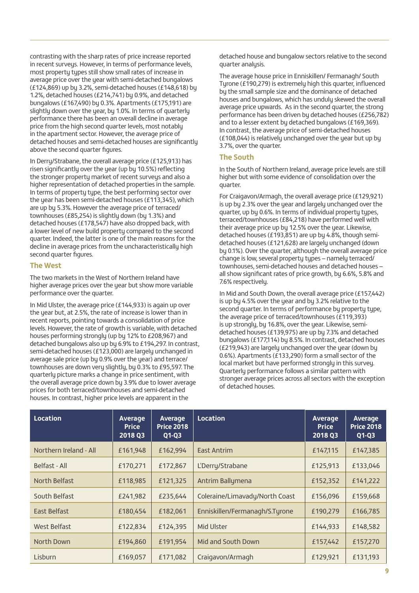contrasting with the sharp rates of price increase reported in recent surveys. However, in terms of performance levels, most property types still show small rates of increase in average price over the year with semi-detached bungalows (£124,869) up by 3.2%, semi-detached houses (£148,618) by 1.2%, detached houses (£214,741) by 0.9%, and detached bungalows (£167,490) by 0.3%. Apartments (£175,191) are slightly down over the year, by 1.0%. In terms of quarterly performance there has been an overall decline in average price from the high second quarter levels, most notably in the apartment sector. However, the average price of detached houses and semi-detached houses are significantly above the second quarter figures.

In Derry/Strabane, the overall average price (£125,913) has risen significantly over the year (up by 10.5%) reflecting the stronger property market of recent surveys and also a higher representation of detached properties in the sample. In terms of property type, the best performing sector over the year has been semi-detached houses (£113,345), which are up by 5.3%. However the average price of terraced/ townhouses (£85,254) is slightly down (by 1.3%) and detached houses (£178,547) have also dropped back, with a lower level of new build property compared to the second quarter. Indeed, the latter is one of the main reasons for the decline in average prices from the uncharacteristically high second quarter figures.

#### **The West**

The two markets in the West of Northern Ireland have higher average prices over the year but show more variable performance over the quarter.

In Mid Ulster, the average price (£144,933) is again up over the year but, at 2.5%, the rate of increase is lower than in recent reports, pointing towards a consolidation of price levels. However, the rate of growth is variable, with detached houses performing strongly (up by 12% to £208,967) and detached bungalows also up by 6.9% to £194,297. In contrast, semi-detached houses (£123,000) are largely unchanged in average sale price (up by 0.9% over the year) and terrace/ townhouses are down very slightly, by 0.3% to £95,597. The quarterly picture marks a change in price sentiment, with the overall average price down by 3.9% due to lower average prices for both terraced/townhouses and semi-detached houses. In contrast, higher price levels are apparent in the

detached house and bungalow sectors relative to the second quarter analysis.

The average house price in Enniskillen/ Fermanagh/ South Tyrone (£190,279) is extremely high this quarter, influenced by the small sample size and the dominance of detached houses and bungalows, which has unduly skewed the overall average price upwards. As in the second quarter, the strong performance has been driven by detached houses (£256,782) and to a lesser extent by detached bungalows (£169,369). In contrast, the average price of semi-detached houses (£108,044) is relatively unchanged over the year but up by 3.7%, over the quarter.

#### **The South**

In the South of Northern Ireland, average price levels are still higher but with some evidence of consolidation over the quarter.

For Craigavon/Armagh, the overall average price (£129,921) is up by 2.3% over the year and largely unchanged over the quarter, up by 0.6%. In terms of individual property types, terraced/townhouses (£84,218) have performed well with their average price up by 12.5% over the year. Likewise, detached houses (£193,851) are up by 4.8%, though semidetached houses (£121,628) are largely unchanged (down by 0.1%). Over the quarter, although the overall average price change is low, several property types – namely terraced/ townhouses, semi-detached houses and detached houses – all show significant rates of price growth, by 6.6%, 5.8% and 7.6% respectively.

In Mid and South Down, the overall average price (£157,442) is up by 4.5% over the year and by 3.2% relative to the second quarter. In terms of performance by property type, the average price of terraced/townhouses (£119,393) is up strongly, by 16.8%, over the year. Likewise, semidetached houses (£139,975) are up by 7.3% and detached bungalows (£177,114) by 8.5%. In contrast, detached houses (£219,943) are largely unchanged over the year (down by 0.6%). Apartments (£133,290) form a small sector of the local market but have performed strongly in this survey. Quarterly performance follows a similar pattern with stronger average prices across all sectors with the exception of detached houses.

| Location               | Average<br><b>Price</b><br>2018 Q3 | Average<br><b>Price 2018</b><br>$Q1-Q3$ | Location                       | Average<br><b>Price</b><br>2018 Q3 | Average<br><b>Price 2018</b><br>$Q1-Q3$ |
|------------------------|------------------------------------|-----------------------------------------|--------------------------------|------------------------------------|-----------------------------------------|
| Northern Ireland - All | £161,948                           | £162,994                                | <b>East Antrim</b>             | £147,115                           | £147,385                                |
| Belfast - All          | £170,271                           | £172,867                                | L'Derry/Strabane               | £125,913                           | £133,046                                |
| North Belfast          | £118,985                           | £121,325                                | Antrim Ballymena               | £152,352                           | £141,222                                |
| South Belfast          | £241,982                           | £235,644                                | Coleraine/Limavady/North Coast | £156,096                           | £159,668                                |
| East Belfast           | £180,454                           | £182,061                                | Enniskillen/Fermanagh/S.Tyrone | £190,279                           | £166,785                                |
| West Belfast           | £122,834                           | £124,395                                | <b>Mid Ulster</b>              | £144,933                           | £148,582                                |
| North Down             | £194,860                           | £191,954                                | Mid and South Down             | £157,442                           | £157,270                                |
| Lisburn                | £169,057                           | £171,082                                | Craigavon/Armagh               | £129,921                           | £131,193                                |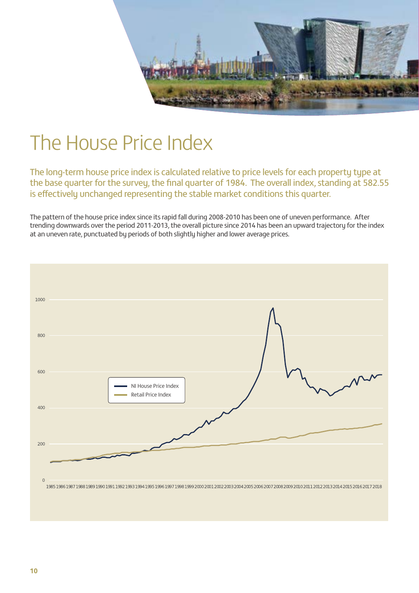

### The House Price Index

The long-term house price index is calculated relative to price levels for each property type at the base quarter for the survey, the final quarter of 1984. The overall index, standing at 582.55 is effectively unchanged representing the stable market conditions this quarter.

The pattern of the house price index since its rapid fall during 2008-2010 has been one of uneven performance. After trending downwards over the period 2011-2013, the overall picture since 2014 has been an upward trajectory for the index at an uneven rate, punctuated by periods of both slightly higher and lower average prices.

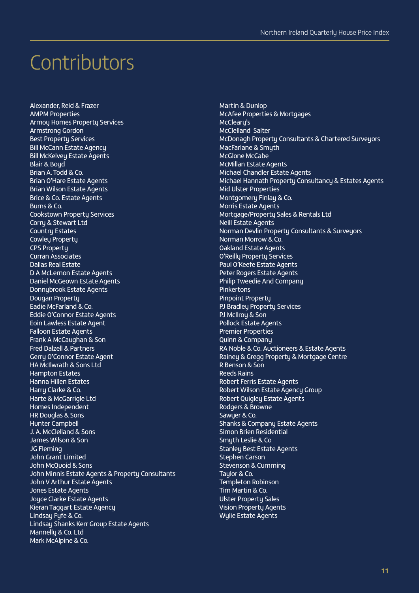### Contributors

Alexander, Reid & Frazer AMPM Properties Armoy Homes Property Services Armstrong Gordon Best Property Services Bill McCann Estate Agency Bill McKelvey Estate Agents Blair & Boyd Brian A. Todd & Co. Brian O'Hare Estate Agents Brian Wilson Estate Agents Brice & Co. Estate Agents Burns & Co. Cookstown Property Services Corry & Stewart Ltd Country Estates Cowley Property CPS Property Curran Associates Dallas Real Estate D A McLernon Estate Agents Daniel McGeown Estate Agents Donnybrook Estate Agents Dougan Property Eadie McFarland & Co. Eddie O'Connor Estate Agents Eoin Lawless Estate Agent Falloon Estate Agents Frank A McCaughan & Son Fred Dalzell & Partners Gerry O'Connor Estate Agent HA McIlwrath & Sons Ltd Hampton Estates Hanna Hillen Estates Harru Clarke & Co. Harte & McGarrigle Ltd Homes Independent HR Douglas & Sons Hunter Campbell J. A. McClelland & Sons James Wilson & Son JG Fleming John Grant Limited John McQuoid & Sons John Minnis Estate Agents & Property Consultants John V Arthur Estate Agents Jones Estate Agents Joyce Clarke Estate Agents Kieran Taggart Estate Agency Lindsay Fyfe & Co. Lindsay Shanks Kerr Group Estate Agents Mannelly & Co. Ltd Mark McAlpine & Co.

Martin & Dunlop McAfee Properties & Mortgages McClearu's McClelland Salter McDonagh Property Consultants & Chartered Surveyors MacFarlane & Smyth McGlone McCabe McMillan Estate Agents Michael Chandler Estate Agents Michael Hannath Property Consultancy & Estates Agents Mid Ulster Properties Montgomery Finlay & Co. Morris Estate Agents Mortgage/Property Sales & Rentals Ltd Neill Estate Agents Norman Devlin Property Consultants & Surveyors Norman Morrow & Co. Oakland Estate Agents O'Reilly Property Services Paul O'Keefe Estate Agents Peter Rogers Estate Agents Philip Tweedie And Company Pinkertons Pinpoint Property PJ Bradley Property Services PJ McIlroy & Son Pollock Estate Agents Premier Properties Quinn & Company RA Noble & Co. Auctioneers & Estate Agents Rainey & Gregg Property & Mortgage Centre R Benson & Son Reeds Rains Robert Ferris Estate Agents Robert Wilson Estate Agency Group Robert Quigley Estate Agents Rodgers & Browne Sawyer & Co. Shanks & Company Estate Agents Simon Brien Residential Smyth Leslie & Co Stanley Best Estate Agents Stephen Carson Stevenson & Cumming Taylor & Co. Templeton Robinson Tim Martin & Co. Ulster Property Sales Vision Property Agents Wylie Estate Agents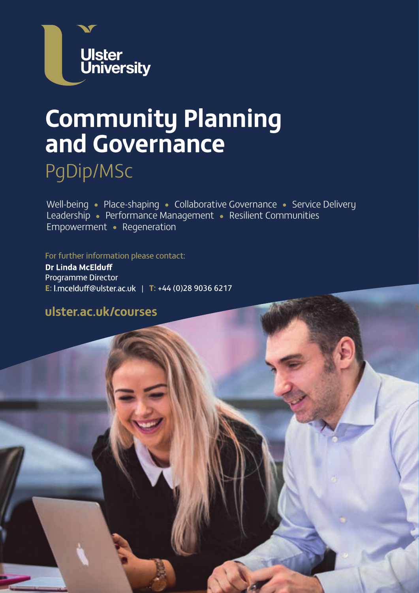

# **Community Planning and Governance**

PgDip/MSc

Well-being • Place-shaping • Collaborative Governance • Service Delivery Leadership • Performance Management • Resilient Communities Empowerment • Regeneration

For further information please contact:

**Dr Linda McElduff** Programme Director **E:** | **T:** +44 (0)28 9036 6217

### **ulster.ac.uk/courses**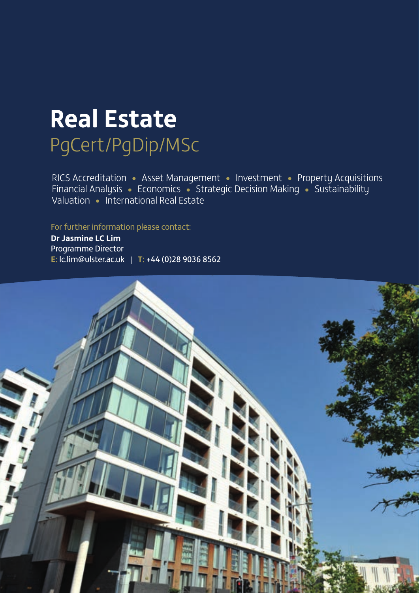# **Real Estate** PgCert/PgDip/MSc

RICS Accreditation • Asset Management • Investment • Property Acquisitions Financial Analysis • Economics • Strategic Decision Making • Sustainability Valuation • International Real Estate

For further information please contact:

**Dr Jasmine LC Lim** Programme Director **E:** lc.lim@ulster.ac.uk | **T:** +44 (0)28 9036 8562